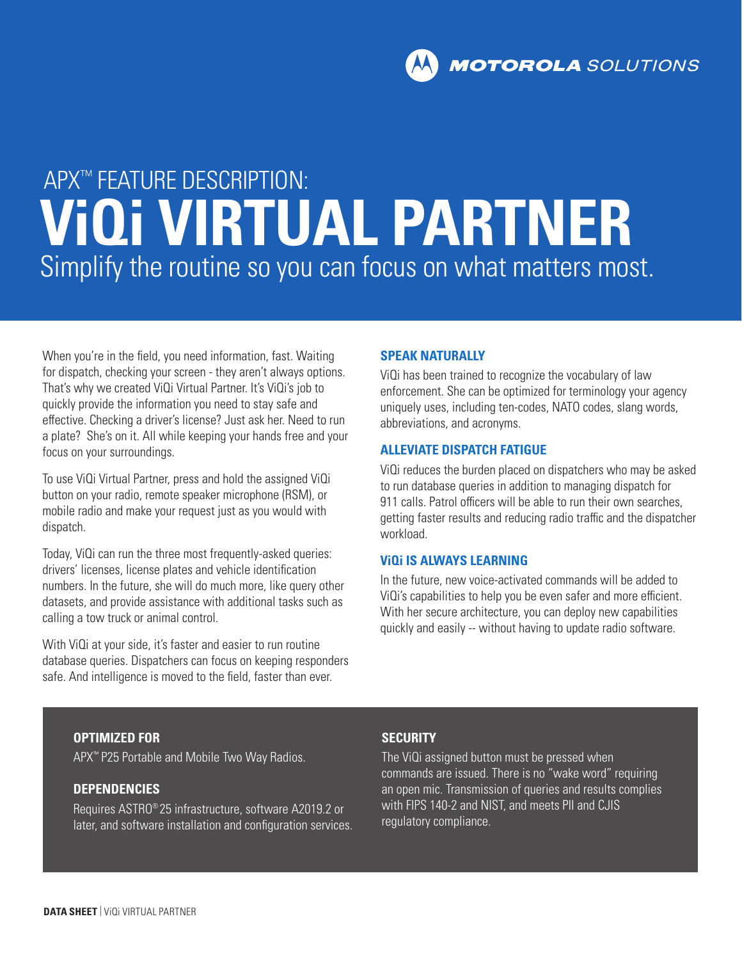# APX™ FEATURE DESCRIPTION: **ViQi VIRTUAL PARTNER**  Simplify the routine so you can focus on what matters most.

When you're in the field, you need information, fast. Waiting for dispatch, checking your screen - they aren't always options. That's why we created ViQi Virtual Partner. It's ViQi's job to quickly provide the information you need to stay safe and effective. Checking a driver's license? Just ask her. Need to run a plate? She's on it. All while keeping your hands free and your focus on your surroundings.

To use ViQi Virtual Partner, press and hold the assigned ViQi button on your radio, remote speaker microphone (RSM), or mobile radio and make your request just as you would with dispatch.

Today, ViQi can run the three most frequently-asked queries: drivers' licenses, license plates and vehicle identification numbers. In the future, she will do much more, like query other datasets, and provide assistance with additional tasks such as calling a tow truck or animal control.

With ViQi at your side, it's faster and easier to run routine database queries. Dispatchers can focus on keeping responders safe. And intelligence is moved to the field, faster than ever.

# **SPEAK NATURALLY**

ViQi has been trained to recognize the vocabulary of law enforcement. She can be optimized for terminology your agency uniquely uses, including ten-codes, NATO codes, slang words, abbreviations, and acronyms.

# **ALLEVIATE DISPATCH FATIGUE**

ViQi reduces the burden placed on dispatchers who may be asked to run database queries in addition to managing dispatch for 911 calls. Patrol officers will be able to run their own searches, getting faster results and reducing radio traffic and the dispatcher workload.

# **ViQi IS ALWAYS LEARNING**

In the future, new voice-activated commands will be added to ViQi's capabilities to help you be even safer and more efficient. With her secure architecture, you can deploy new capabilities quickly and easily -- without having to update radio software.

### **OPTIMIZED FOR**

APX™ P25 Portable and Mobile Two Way Radios.

# **DEPENDENCIES**

Requires ASTRO® 25 infrastructure, software A2019.2 or later, and software installation and configuration services.

# **SECURITY**

The ViQi assigned button must be pressed when commands are issued. There is no "wake word" requiring an open mic. Transmission of queries and results complies with FIPS 140-2 and NIST, and meets PII and CJIS regulatory compliance.